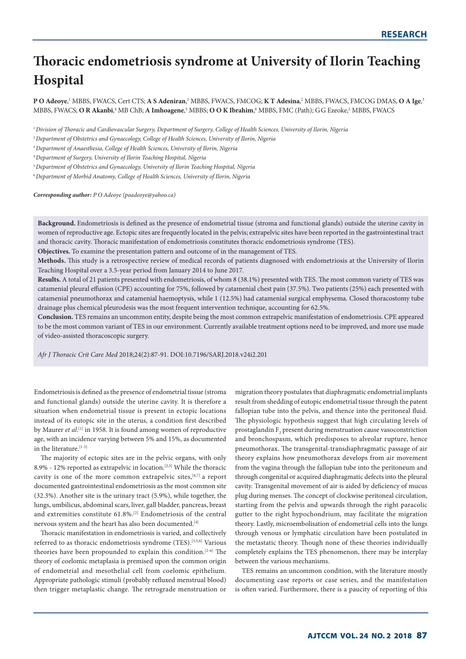# **Thoracic endometriosis syndrome at University of Ilorin Teaching Hospital**

**P O Adeoye,'** MBBS, FWACS, Cert CTS; **A S Adeniran**,? MBBS, FWACS, FMCOG; **K T Adesina**,? MBBS, FWACS, FMCOG DMAS, **O A Ige**,<sup>3</sup> MBBS, FWACS; **O R Akanbi**,<sup>4</sup> MB ChB; **A Imhoagene**,<sup>5</sup> MBBS; **O O K Ibrahim**,<sup>6</sup> MBBS, FMC (Path); GG Ezeoke,<sup>2</sup> MBBS, FWACS

<sup>1</sup>*Division of Thoracic and Cardiovascular Surgery, Department of Surgery, College of Health Sciences, University of Ilorin, Nigeria*

- <sup>2</sup>*Department of Obstetrics and Gynaecology, College of Health Sciences, University of Ilorin, Nigeria*
- <sup>3</sup>*Department of Anaesthesia, College of Health Sciences, University of Ilorin, Nigeria*
- <sup>4</sup>*Department of Surgery, University of Ilorin Teaching Hospital, Nigeria*
- <sup>5</sup>*Department of Obstetrics and Gynaecology, University of Ilorin Teaching Hospital, Nigeria*

<sup>6</sup>*Department of Morbid Anatomy, College of Health Sciences, University of Ilorin, Nigeria*

*Corresponding author: P O Adeoye (poadeoye@yahoo.ca)*

**Background.** Endometriosis is defined as the presence of endometrial tissue (stroma and functional glands) outside the uterine cavity in women of reproductive age. Ectopic sites are frequently located in the pelvis; extrapelvic sites have been reported in the gastrointestinal tract and thoracic cavity. Thoracic manifestation of endometriosis constitutes thoracic endometriosis syndrome (TES).

**Objectives.** To examine the presentation pattern and outcome of in the management of TES.

**Methods.** This study is a retrospective review of medical records of patients diagnosed with endometriosis at the University of Ilorin Teaching Hospital over a 3.5-year period from January 2014 to June 2017.

**Results.** A total of 21 patients presented with endometriosis, of whom 8 (38.1%) presented with TES. The most common variety of TES was catamenial pleural effusion (CPE) accounting for 75%, followed by catamenial chest pain (37.5%). Two patients (25%) each presented with catamenial pneumothorax and catamenial haemoptysis, while 1 (12.5%) had catamenial surgical emphysema. Closed thoracostomy tube drainage plus chemical pleurodesis was the most frequent intervention technique, accounting for 62.5%.

**Conclusion.** TES remains an uncommon entity, despite being the most common extrapelvic manifestation of endometriosis. CPE appeared to be the most common variant of TES in our environment. Currently available treatment options need to be improved, and more use made of video-assisted thoracoscopic surgery.

*Afr J Thoracic Crit Care Med* 2018;24(2):87-91. DOI:10.7196/SARJ.2018.v24i2.201

Endometriosis is defined as the presence of endometrial tissue (stroma and functional glands) outside the uterine cavity. It is therefore a situation when endometrial tissue is present in ectopic locations instead of its eutopic site in the uterus, a condition first described by Maurer *et al*. [1] in 1958. It is found among women of reproductive age, with an incidence varying between 5% and 15%, as documented in the literature.<sup>[1-5]</sup>

The majority of ectopic sites are in the pelvic organs, with only 8.9% - 12% reported as extrapelvic in location.[2,3] While the thoracic cavity is one of the more common extrapelvic sites, $[6,7]$  a report documented gastrointestinal endometriosis as the most common site (32.3%). Another site is the urinary tract (5.9%), while together, the lungs, umbilicus, abdominal scars, liver, gall bladder, pancreas, breast and extremities constitute 61.8%.[2] Endometriosis of the central nervous system and the heart has also been documented.<sup>[4]</sup>

Thoracic manifestation in endometriosis is varied, and collectively referred to as thoracic endometriosis syndrome (TES).[3,5,6] Various theories have been propounded to explain this condition.<sup>[2-6]</sup> The theory of coelomic metaplasia is premised upon the common origin of endometrial and mesothelial cell from coelomic epithelium. Appropriate pathologic stimuli (probably refluxed menstrual blood) then trigger metaplastic change. The retrograde menstruation or

migration theory postulates that diaphragmatic endometrial implants result from shedding of eutopic endometrial tissue through the patent fallopian tube into the pelvis, and thence into the peritoneal fluid. The physiologic hypothesis suggest that high circulating levels of prostaglandin $\mathbf{F}_\mathrm{2}$  present during menstruation cause vasoconstriction and bronchospasm, which predisposes to alveolar rupture, hence pneumothorax. The transgenital-transdiaphragmatic passage of air theory explains how pneumothorax develops from air movement from the vagina through the fallopian tube into the peritoneum and through congenital or acquired diaphragmatic defects into the pleural cavity. Transgenital movement of air is aided by deficiency of mucus plug during menses. The concept of clockwise peritoneal circulation, starting from the pelvis and upwards through the right paracolic gutter to the right hypochondrium, may facilitate the migration theory. Lastly, microembolisation of endometrial cells into the lungs through venous or lymphatic circulation have been postulated in the metastatic theory. Though none of these theories individually completely explains the TES phenomenon, there may be interplay between the various mechanisms.

TES remains an uncommon condition, with the literature mostly documenting case reports or case series, and the manifestation is often varied. Furthermore, there is a paucity of reporting of this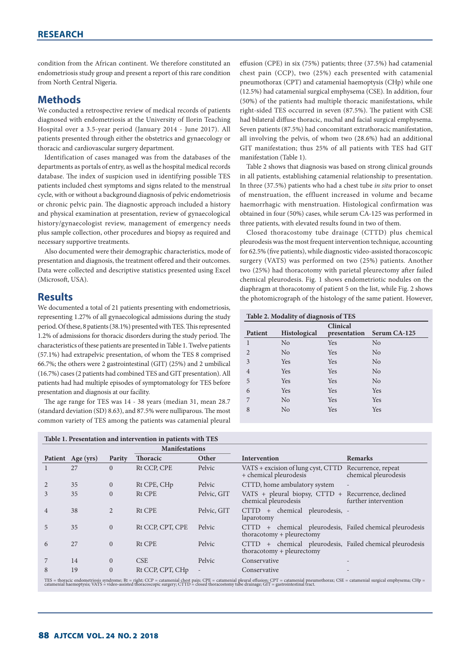condition from the African continent. We therefore constituted an endometriosis study group and present a report of this rare condition from North Central Nigeria.

# **Methods**

We conducted a retrospective review of medical records of patients diagnosed with endometriosis at the University of Ilorin Teaching Hospital over a 3.5-year period (January 2014 - June 2017). All patients presented through either the obstetrics and gynaecology or thoracic and cardiovascular surgery department.

Identification of cases managed was from the databases of the departments as portals of entry, as well as the hospital medical records database. The index of suspicion used in identifying possible TES patients included chest symptoms and signs related to the menstrual cycle, with or without a background diagnosis of pelvic endometriosis or chronic pelvic pain. The diagnostic approach included a history and physical examination at presentation, review of gynaecological history/gynaecologist review, management of emergency needs plus sample collection, other procedures and biopsy as required and necessary supportive treatments.

Also documented were their demographic characteristics, mode of presentation and diagnosis, the treatment offered and their outcomes. Data were collected and descriptive statistics presented using Excel (Microsoft, USA).

# **Results**

We documented a total of 21 patients presenting with endometriosis, representing 1.27% of all gynaecological admissions during the study period. Of these, 8 patients (38.1%) presented with TES. This represented 1.2% of admissions for thoracic disorders during the study period. The characteristics of these patients are presented in Table 1. Twelve patients (57.1%) had extrapelvic presentation, of whom the TES 8 comprised 66.7%; the others were 2 gastrointestinal (GIT) (25%) and 2 umbilical (16.7%) cases (2 patients had combined TES and GIT presentation). All patients had had multiple episodes of symptomatology for TES before presentation and diagnosis at our facility.

The age range for TES was 14 - 38 years (median 31, mean 28.7 (standard deviation (SD) 8.63), and 87.5% were nulliparous. The most common variety of TES among the patients was catamenial pleural

effusion (CPE) in six (75%) patients; three (37.5%) had catamenial chest pain (CCP), two (25%) each presented with catamenial pneumothorax (CPT) and catamenial haemoptysis (CHp) while one (12.5%) had catamenial surgical emphysema (CSE). In addition, four (50%) of the patients had multiple thoracic manifestations, while right-sided TES occurred in seven (87.5%). The patient with CSE had bilateral diffuse thoracic, nuchal and facial surgical emphysema. Seven patients (87.5%) had concomitant extrathoracic manifestation, all involving the pelvis, of whom two (28.6%) had an additional GIT manifestation; thus 25% of all patients with TES had GIT manifestation (Table 1).

Table 2 shows that diagnosis was based on strong clinical grounds in all patients, establishing catamenial relationship to presentation. In three (37.5%) patients who had a chest tube *in situ* prior to onset of menstruation, the effluent increased in volume and became haemorrhagic with menstruation. Histological confirmation was obtained in four (50%) cases, while serum CA-125 was performed in three patients, with elevated results found in two of them.

Closed thoracostomy tube drainage (CTTD) plus chemical pleurodesis was the most frequent intervention technique, accounting for 62.5% (five patients), while diagnostic video-assisted thoracoscopic surgery (VATS) was performed on two (25%) patients. Another two (25%) had thoracotomy with parietal pleurectomy after failed chemical pleurodesis. Fig. 1 shows endometriotic nodules on the diaphragm at thoracotomy of patient 5 on the list, while Fig. 2 shows the photomicrograph of the histology of the same patient. However,

| Table 2. Modality of diagnosis of TES |                     |                                 |                |  |  |  |  |
|---------------------------------------|---------------------|---------------------------------|----------------|--|--|--|--|
| <b>Patient</b>                        | <b>Histological</b> | <b>Clinical</b><br>presentation | Serum CA-125   |  |  |  |  |
| 1                                     | N <sub>o</sub>      | Yes                             | N <sub>o</sub> |  |  |  |  |
| $\overline{2}$                        | N <sub>o</sub>      | Yes                             | N <sub>o</sub> |  |  |  |  |
| 3                                     | Yes                 | Yes                             | No             |  |  |  |  |
| $\overline{4}$                        | Yes                 | <b>Yes</b>                      | No             |  |  |  |  |
| 5                                     | Yes                 | Yes                             | No             |  |  |  |  |
| 6                                     | Yes                 | Yes                             | Yes            |  |  |  |  |
| 7                                     | No                  | Yes                             | Yes            |  |  |  |  |
| 8                                     | No                  | Yes                             | Yes            |  |  |  |  |

|   |                   |                | Table 1. Presentation and intervention in patients with TES<br><b>Manifestations</b> |             |                                                                                           |                                            |
|---|-------------------|----------------|--------------------------------------------------------------------------------------|-------------|-------------------------------------------------------------------------------------------|--------------------------------------------|
|   | Patient Age (yrs) | Parity         | <b>Thoracic</b>                                                                      | Other       | <b>Intervention</b>                                                                       | <b>Remarks</b>                             |
|   | 27                | $\Omega$       | Rt CCP, CPE                                                                          | Pelvic      | $VATS + excision of lung cyst, CTTD$<br>+ chemical pleurodesis                            | Recurrence, repeat<br>chemical pleurodesis |
|   | 35                | $\Omega$       | Rt CPE, CH <sub>p</sub>                                                              | Pelvic      | CTTD, home ambulatory system                                                              |                                            |
| 3 | 35                | $\Omega$       | Rt CPE                                                                               | Pelvic, GIT | VATS + pleural biopsy, $CTTD$ + Recurrence, declined<br>chemical pleurodesis              | further intervention                       |
| 4 | 38                | $\overline{2}$ | Rt CPE                                                                               | Pelvic, GIT | $CTTD + chemical$ pleurodesis, -<br>laparotomy                                            |                                            |
| 5 | 35                | $\Omega$       | Rt CCP, CPT, CPE                                                                     | Pelvic      | $CTTD + chemical$ pleurodesis, Failed chemical pleurodesis<br>$thoracotomy + pleurectomy$ |                                            |
| 6 | 27                | $\Omega$       | Rt CPE                                                                               | Pelvic      | $CTTD + chemical$ pleurodesis, Failed chemical pleurodesis<br>$thoracotomy + pleurectomy$ |                                            |
|   | 14                | $\Omega$       | <b>CSE</b>                                                                           | Pelvic      | Conservative                                                                              |                                            |
| 8 | 19                | $\Omega$       | Rt CCP, CPT, CHp                                                                     |             | Conservative                                                                              |                                            |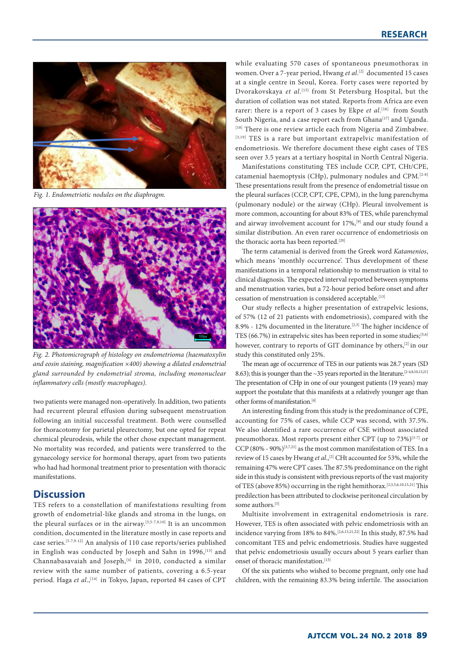

*Fig. 1. Endometriotic nodules on the diaphragm.*



*Fig. 2. Photomicrograph of histology on endometrioma (haematoxylin and eosin staining, magnification ×400) showing a dilated endometrial gland surrounded by endometrial stroma, including mononuclear inflammatory cells (mostly macrophages).*

two patients were managed non-operatively. In addition, two patients had recurrent pleural effusion during subsequent menstruation following an initial successful treatment. Both were counselled for thoracotomy for parietal pleurectomy, but one opted for repeat chemical pleurodesis, while the other chose expectant management. No mortality was recorded, and patients were transferred to the gynaecology service for hormonal therapy, apart from two patients who had had hormonal treatment prior to presentation with thoracic manifestations.

# **Discussion**

TES refers to a constellation of manifestations resulting from growth of endometrial-like glands and stroma in the lungs, on the pleural surfaces or in the airway.[3,5-7,9,10] It is an uncommon condition, documented in the literature mostly in case reports and case series.[5-7,9-12] An analysis of 110 case reports/series published in English was conducted by Joseph and Sahn in 1996,<sup>[13]</sup> and Channabasavaiah and Joseph, $[4]$  in 2010, conducted a similar review with the same number of patients, covering a 6.5-year period. Haga *et al.*,<sup>[14]</sup> in Tokyo, Japan, reported 84 cases of CPT

while evaluating 570 cases of spontaneous pneumothorax in women. Over a 7-year period, Hwang *et al*.<sup>[2]</sup> documented 15 cases at a single centre in Seoul, Korea. Forty cases were reported by Dvorakovskaya *et al*. [15] from St Petersburg Hospital, but the duration of collation was not stated. Reports from Africa are even rarer: there is a report of 3 cases by Ekpe *et al*.<sup>[16]</sup> from South South Nigeria, and a case report each from Ghana<sup>[17]</sup> and Uganda. [18] There is one review article each from Nigeria and Zimbabwe. [3,19] TES is a rare but important extrapelvic manifestation of endometriosis. We therefore document these eight cases of TES seen over 3.5 years at a tertiary hospital in North Central Nigeria.

Manifestations constituting TES include CCP, CPT, CHt/CPE, catamenial haemoptysis (CHp), pulmonary nodules and CPM.[2-8] These presentations result from the presence of endometrial tissue on the pleural surfaces (CCP, CPT, CPE, CPM), in the lung parenchyma (pulmonary nodule) or the airway (CHp). Pleural involvement is more common, accounting for about 83% of TES, while parenchymal and airway involvement account for 17%,<sup>[9]</sup> and our study found a similar distribution. An even rarer occurrence of endometriosis on the thoracic aorta has been reported.<sup>[20]</sup>

The term catamenial is derived from the Greek word *Katamenios*, which means 'monthly occurrence'. Thus development of these manifestations in a temporal relationship to menstruation is vital to clinical diagnosis. The expected interval reported between symptoms and menstruation varies, but a 72-hour period before onset and after cessation of menstruation is considered acceptable.<sup>[13]</sup>

Our study reflects a higher presentation of extrapelvic lesions, of 57% (12 of 21 patients with endometriosis), compared with the 8.9% - 12% documented in the literature.[2,3] The higher incidence of TES (66.7%) in extrapelvic sites has been reported in some studies;<sup>[5,6]</sup> however, contrary to reports of GIT dominance by others,[2] in our study this constituted only 25%.

The mean age of occurrence of TES in our patients was 28.7 years (SD 8.63); this is younger than the  $\sim$ 35 years reported in the literature.<sup>[2-4,8,10,13,21]</sup> The presentation of CHp in one of our youngest patients (19 years) may support the postulate that this manifests at a relatively younger age than other forms of manifestation.[4]

An interesting finding from this study is the predominance of CPE, accounting for 75% of cases, while CCP was second, with 37.5%. We also identified a rare occurrence of CSE without associated pneumothorax. Most reports present either CPT (up to  $73\%$ )<sup>[3-7]</sup> or CCP (80% - 90%)[3,7,21] as the most common manifestation of TES. In a review of 15 cases by Hwang *et al.*,<sup>[2]</sup> CHt accounted for 53%, while the remaining 47% were CPT cases. The 87.5% predominance on the right side in this study is consistent with previous reports of the vast majority of TES (above 85%) occurring in the right hemithorax.[2,3,5,6,10,13,21] This predilection has been attributed to clockwise peritoneal circulation by some authors.[5]

Multisite involvement in extragenital endometriosis is rare. However, TES is often associated with pelvic endometriosis with an incidence varying from 18% to 84%.[2,6,13,21,22] In this study, 87.5% had concomitant TES and pelvic endometriosis. Studies have suggested that pelvic endometriosis usually occurs about 5 years earlier than onset of thoracic manifestation.[13]

Of the six patients who wished to become pregnant, only one had children, with the remaining 83.3% being infertile. The association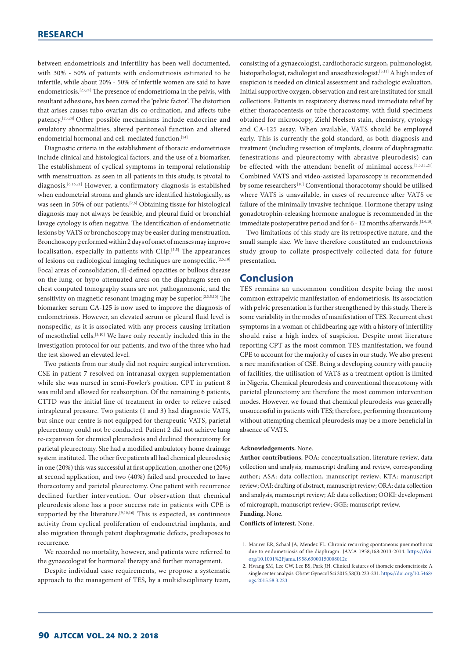between endometriosis and infertility has been well documented, with 30% - 50% of patients with endometriosis estimated to be infertile, while about 20% - 50% of infertile women are said to have endometriosis.[23,24] The presence of endometrioma in the pelvis, with resultant adhesions, has been coined the 'pelvic factor'. The distortion that arises causes tubo-ovarian dis-co-ordination, and affects tube patency.[23,24] Other possible mechanisms include endocrine and ovulatory abnormalities, altered peritoneal function and altered endometrial hormonal and cell-mediated function.<sup>[24]</sup>

Diagnostic criteria in the establishment of thoracic endometriosis include clinical and histological factors, and the use of a biomarker. The establishment of cyclical symptoms in temporal relationship with menstruation, as seen in all patients in this study, is pivotal to diagnosis.[6,16,21] However, a confirmatory diagnosis is established when endometrial stroma and glands are identified histologically, as was seen in 50% of our patients.[2,6] Obtaining tissue for histological diagnosis may not always be feasible, and pleural fluid or bronchial lavage cytology is often negative. The identification of endometriotic lesions by VATS or bronchoscopy may be easier during menstruation. Bronchoscopy performed within 2 days of onset of menses may improve localisation, especially in patients with CHp.<sup>[3,5]</sup> The appearances of lesions on radiological imaging techniques are nonspecific.<sup>[2,5,10]</sup> Focal areas of consolidation, ill-defined opacities or bullous disease on the lung, or hypo-attenuated areas on the diaphragm seen on chest computed tomography scans are not pathognomonic, and the sensitivity on magnetic resonant imaging may be superior.[2,3,5,10] The biomarker serum CA-125 is now used to improve the diagnosis of endometriosis. However, an elevated serum or pleural fluid level is nonspecific, as it is associated with any process causing irritation of mesothelial cells.[3,10] We have only recently included this in the investigation protocol for our patients, and two of the three who had the test showed an elevated level.

Two patients from our study did not require surgical intervention. CSE in patient 7 resolved on intranasal oxygen supplementation while she was nursed in semi-Fowler's position. CPT in patient 8 was mild and allowed for reabsorption. Of the remaining 6 patients, CTTD was the initial line of treatment in order to relieve raised intrapleural pressure. Two patients (1 and 3) had diagnostic VATS, but since our centre is not equipped for therapeutic VATS, parietal pleurectomy could not be conducted. Patient 2 did not achieve lung re-expansion for chemical pleurodesis and declined thoracotomy for parietal pleurectomy. She had a modified ambulatory home drainage system instituted. The other five patients all had chemical pleurodesis; in one (20%) this was successful at first application, another one (20%) at second application, and two (40%) failed and proceeded to have thoracotomy and parietal pleurectomy. One patient with recurrence declined further intervention. Our observation that chemical pleurodesis alone has a poor success rate in patients with CPE is supported by the literature.<sup>[9,10,16]</sup> This is expected, as continuous activity from cyclical proliferation of endometrial implants, and also migration through patent diaphragmatic defects, predisposes to recurrence.

We recorded no mortality, however, and patients were referred to the gynaecologist for hormonal therapy and further management.

Despite individual case requirements, we propose a systematic approach to the management of TES, by a multidisciplinary team,

consisting of a gynaecologist, cardiothoracic surgeon, pulmonologist, histopathologist, radiologist and anaesthesiologist.<sup>[3,11]</sup> A high index of suspicion is needed on clinical assessment and radiologic evaluation. Initial supportive oxygen, observation and rest are instituted for small collections. Patients in respiratory distress need immediate relief by either thoracocentesis or tube thoracostomy, with fluid specimens obtained for microscopy, Ziehl Neelsen stain, chemistry, cytology and CA-125 assay. When available, VATS should be employed early. This is currently the gold standard, as both diagnosis and treatment (including resection of implants, closure of diaphragmatic fenestrations and pleurectomy with abrasive pleurodesis) can be effected with the attendant benefit of minimal access.[3,5,11,21] Combined VATS and video-assisted laparoscopy is recommended by some researchers <a>[10]</a> Conventional thoracotomy should be utilised where VATS is unavailable, in cases of recurrence after VATS or failure of the minimally invasive technique. Hormone therapy using gonadotrophin-releasing hormone analogue is recommended in the immediate postoperative period and for 6 - 12 months afterwards.<sup>[2,6,10]</sup>

Two limitations of this study are its retrospective nature, and the small sample size. We have therefore constituted an endometriosis study group to collate prospectively collected data for future presentation.

# **Conclusion**

TES remains an uncommon condition despite being the most common extrapelvic manifestation of endometriosis. Its association with pelvic presentation is further strengthened by this study. There is some variability in the modes of manifestation of TES. Recurrent chest symptoms in a woman of childbearing age with a history of infertility should raise a high index of suspicion. Despite most literature reporting CPT as the most common TES manifestation, we found CPE to account for the majority of cases in our study. We also present a rare manifestation of CSE. Being a developing country with paucity of facilities, the utilisation of VATS as a treatment option is limited in Nigeria. Chemical pleurodesis and conventional thoracotomy with parietal pleurectomy are therefore the most common intervention modes. However, we found that chemical pleurodesis was generally unsuccessful in patients with TES; therefore, performing thoracotomy without attempting chemical pleurodesis may be a more beneficial in absence of VATS.

#### **Acknowledgements.** None.

**Author contributions.** POA: conceptualisation, literature review, data collection and analysis, manuscript drafting and review, corresponding author; ASA: data collection, manuscript review; KTA: manuscript review; OAI: drafting of abstract, manuscript review; ORA: data collection and analysis, manuscript review; AI: data collection; OOKI: development of micrograph, manuscript review; GGE: manuscript review.

### **Funding.** None.

**Conflicts of interest.** None.

- 1. Maurer ER, Schaal JA, Mendez FL. Chronic recurring spontaneous pneumothorax due to endometriosis of the diaphragm. JAMA 1958;168:2013-2014. [https://doi.](https://doi.org/10.1001%2Fjama.1958.63000150008012c ) [org/10.1001%2Fjama.1958.63000150008012c](https://doi.org/10.1001%2Fjama.1958.63000150008012c )
- 2. Hwang SM, Lee CW, Lee BS, Park JH. Clinical features of thoracic endometriosis: A single center analysis. Obstet Gynecol Sci 2015;58(3):223-231. [https://doi.org/10.5468/](https://doi.org/10.5468/ogs.2015.58.3.223 ) [ogs.2015.58.3.223](https://doi.org/10.5468/ogs.2015.58.3.223 )